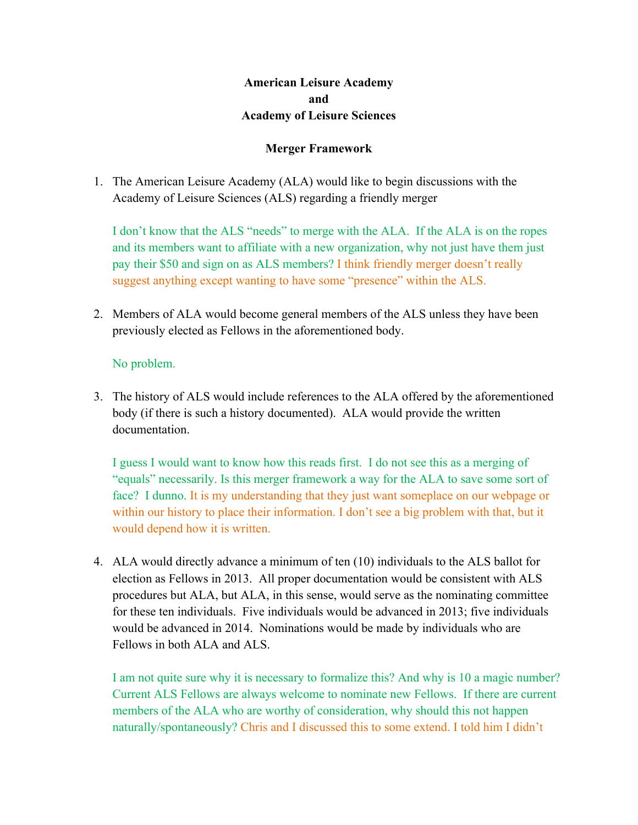## **American Leisure Academy and Academy of Leisure Sciences**

## **Merger Framework**

1. The American Leisure Academy (ALA) would like to begin discussions with the Academy of Leisure Sciences (ALS) regarding a friendly merger

I don't know that the ALS "needs" to merge with the ALA. If the ALA is on the ropes and its members want to affiliate with a new organization, why not just have them just pay their \$50 and sign on as ALS members? I think friendly merger doesn't really suggest anything except wanting to have some "presence" within the ALS.

2. Members of ALA would become general members of the ALS unless they have been previously elected as Fellows in the aforementioned body.

## No problem.

3. The history of ALS would include references to the ALA offered by the aforementioned body (if there is such a history documented). ALA would provide the written documentation.

I guess I would want to know how this reads first. I do not see this as a merging of "equals" necessarily. Is this merger framework a way for the ALA to save some sort of face? I dunno. It is my understanding that they just want someplace on our webpage or within our history to place their information. I don't see a big problem with that, but it would depend how it is written.

4. ALA would directly advance a minimum of ten (10) individuals to the ALS ballot for election as Fellows in 2013. All proper documentation would be consistent with ALS procedures but ALA, but ALA, in this sense, would serve as the nominating committee for these ten individuals. Five individuals would be advanced in 2013; five individuals would be advanced in 2014. Nominations would be made by individuals who are Fellows in both ALA and ALS.

I am not quite sure why it is necessary to formalize this? And why is 10 a magic number? Current ALS Fellows are always welcome to nominate new Fellows. If there are current members of the ALA who are worthy of consideration, why should this not happen naturally/spontaneously? Chris and I discussed this to some extend. I told him I didn't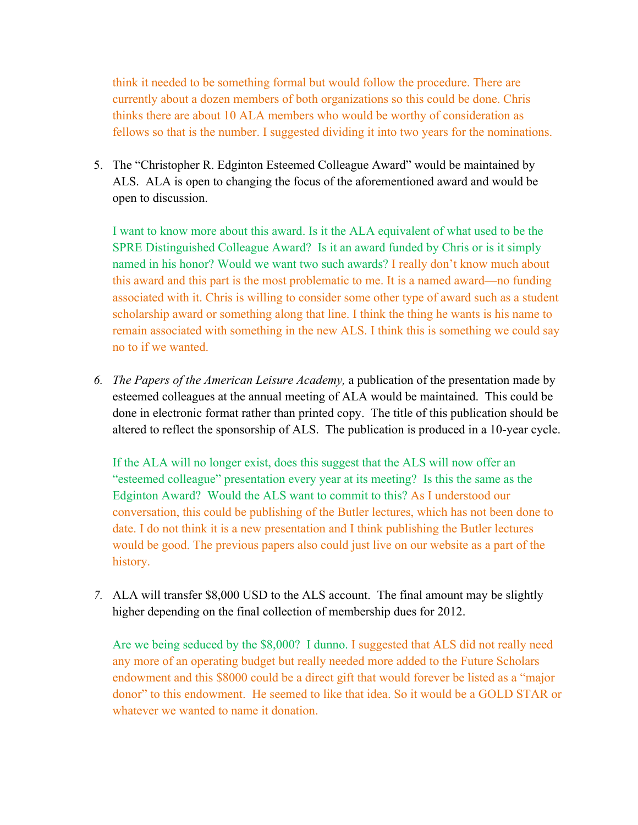think it needed to be something formal but would follow the procedure. There are currently about a dozen members of both organizations so this could be done. Chris thinks there are about 10 ALA members who would be worthy of consideration as fellows so that is the number. I suggested dividing it into two years for the nominations.

5. The "Christopher R. Edginton Esteemed Colleague Award" would be maintained by ALS. ALA is open to changing the focus of the aforementioned award and would be open to discussion.

I want to know more about this award. Is it the ALA equivalent of what used to be the SPRE Distinguished Colleague Award? Is it an award funded by Chris or is it simply named in his honor? Would we want two such awards? I really don't know much about this award and this part is the most problematic to me. It is a named award—no funding associated with it. Chris is willing to consider some other type of award such as a student scholarship award or something along that line. I think the thing he wants is his name to remain associated with something in the new ALS. I think this is something we could say no to if we wanted.

*6. The Papers of the American Leisure Academy,* a publication of the presentation made by esteemed colleagues at the annual meeting of ALA would be maintained. This could be done in electronic format rather than printed copy. The title of this publication should be altered to reflect the sponsorship of ALS. The publication is produced in a 10-year cycle.

If the ALA will no longer exist, does this suggest that the ALS will now offer an "esteemed colleague" presentation every year at its meeting? Is this the same as the Edginton Award? Would the ALS want to commit to this? As I understood our conversation, this could be publishing of the Butler lectures, which has not been done to date. I do not think it is a new presentation and I think publishing the Butler lectures would be good. The previous papers also could just live on our website as a part of the history.

*7.* ALA will transfer \$8,000 USD to the ALS account. The final amount may be slightly higher depending on the final collection of membership dues for 2012.

Are we being seduced by the \$8,000? I dunno. I suggested that ALS did not really need any more of an operating budget but really needed more added to the Future Scholars endowment and this \$8000 could be a direct gift that would forever be listed as a "major donor" to this endowment. He seemed to like that idea. So it would be a GOLD STAR or whatever we wanted to name it donation.